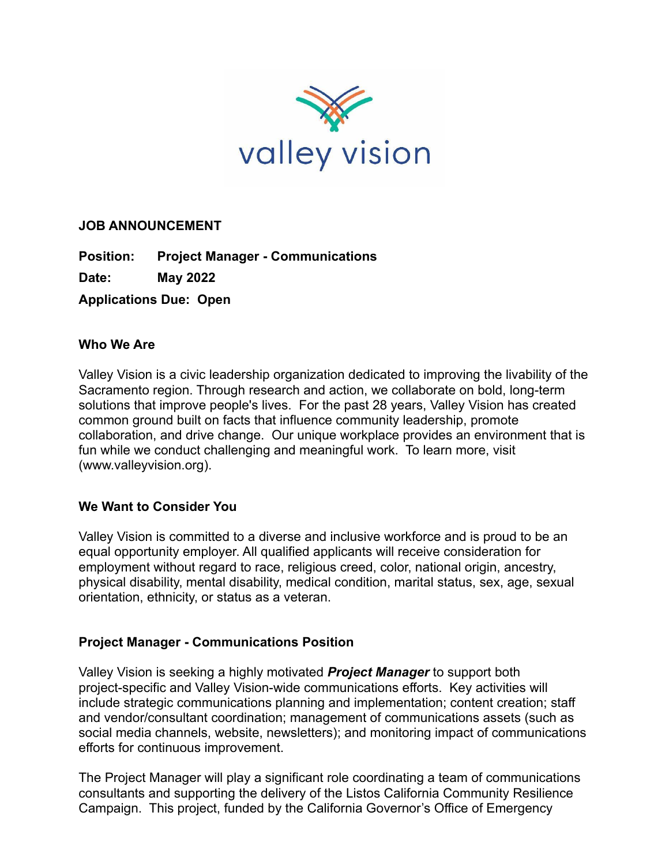

# **JOB ANNOUNCEMENT**

**Position: Project Manager - Communications**

**Date: May 2022**

**Applications Due: Open**

# **Who We Are**

Valley Vision is a civic leadership organization dedicated to improving the livability of the Sacramento region. Through research and action, we collaborate on bold, long-term solutions that improve people's lives. For the past 28 years, Valley Vision has created common ground built on facts that influence community leadership, promote collaboration, and drive change. Our unique workplace provides an environment that is fun while we conduct challenging and meaningful work. To learn more, visit ([www.valleyvision.org\)](http://www.valleyvision.org/).

# **We Want to Consider You**

Valley Vision is committed to a diverse and inclusive workforce and is proud to be an equal opportunity employer. All qualified applicants will receive consideration for employment without regard to race, religious creed, color, national origin, ancestry, physical disability, mental disability, medical condition, marital status, sex, age, sexual orientation, ethnicity, or status as a veteran.

# **Project Manager - Communications Position**

Valley Vision is seeking a highly motivated *Project Manager* to support both project-specific and Valley Vision-wide communications efforts. Key activities will include strategic communications planning and implementation; content creation; staff and vendor/consultant coordination; management of communications assets (such as social media channels, website, newsletters); and monitoring impact of communications efforts for continuous improvement.

The Project Manager will play a significant role coordinating a team of communications consultants and supporting the delivery of the Listos California Community Resilience Campaign. This project, funded by the California Governor's Office of Emergency